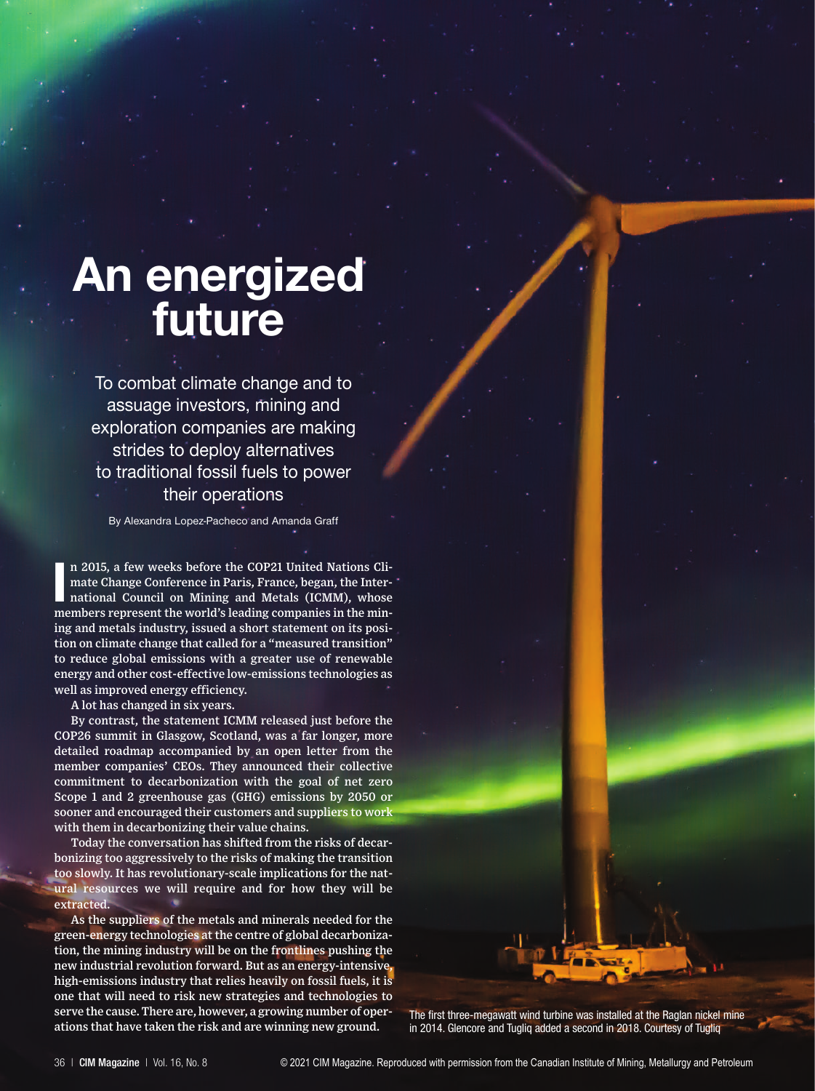# **An energized future**

To combat climate change and to assuage investors, mining and exploration companies are making strides to deploy alternatives to traditional fossil fuels to power their operations

By Alexandra Lopez-Pacheco and Amanda Graff

**I** n 2015, a few weeks before the COP21 United Nations Climate Change Conference in Paris, France, began, the International Council on Mining and Metals (ICMM), whose members represent the world's leading companies in the mining and metals industry, issued a short statement on its position on climate change that called for a "measured transition" to reduce global emissions with a greater use of renewable energy and other cost-effective low-emissions technologies as well as improved energy efficiency.

A lot has changed in six years.

By contrast, the statement ICMM released just before the COP26 summit in Glasgow, Scotland, was a far longer, more detailed roadmap accompanied by an open letter from the member companies' CEOs. They announced their collective commitment to decarbonization with the goal of net zero Scope 1 and 2 greenhouse gas (GHG) emissions by 2050 or sooner and encouraged their customers and suppliers to work with them in decarbonizing their value chains.

Today the conversation has shifted from the risks of decarbonizing too aggressively to the risks of making the transition too slowly. It has revolutionary-scale implications for the natural resources we will require and for how they will be extracted.

As the suppliers of the metals and minerals needed for the green-energy technologies at the centre of global decarbonization, the mining industry will be on the frontlines pushing the new industrial revolution forward. But as an energy-intensive, high-emissions industry that relies heavily on fossil fuels, it is one that will need to risk new strategies and technologies to serve the cause. There are, however, a growing number of operations that have taken the risk and are winning new ground.

The first three-megawatt wind turbine was installed at the Raglan nickel mine in 2014. Glencore and Tugliq added a second in 2018. Courtesy of Tugliq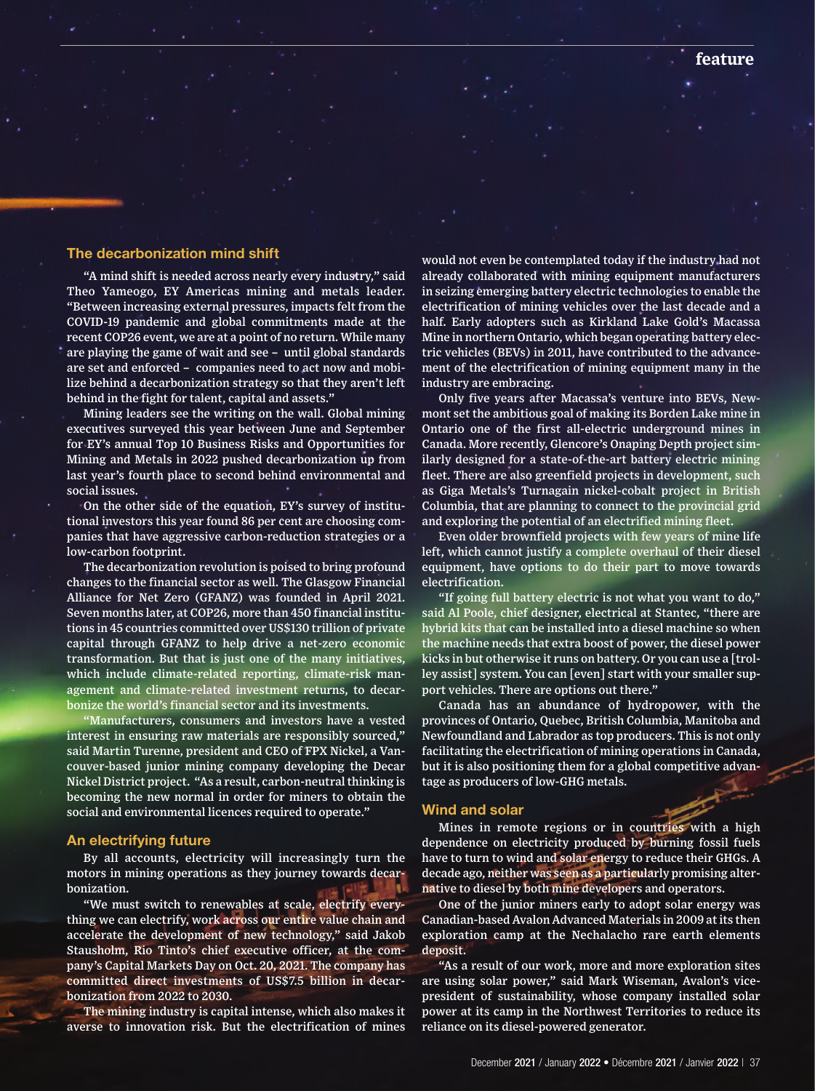## **The decarbonization mind shift**

"A mind shift is needed across nearly every industry," said Theo Yameogo, EY Americas mining and metals leader. "Between increasing external pressures, impacts felt from the COVID-19 pandemic and global commitments made at the recent COP26 event, we are at a point of no return. While many are playing the game of wait and see – until global standards are set and enforced – companies need to act now and mobilize behind a decarbonization strategy so that they aren't left behind in the fight for talent, capital and assets."

Mining leaders see the writing on the wall. Global mining executives surveyed this year between June and September for EY's annual Top 10 Business Risks and Opportunities for Mining and Metals in 2022 pushed decarbonization up from last year's fourth place to second behind environmental and social issues.

On the other side of the equation, EY's survey of institutional investors this year found 86 per cent are choosing companies that have aggressive carbon-reduction strategies or a low-carbon footprint.

The decarbonization revolution is poised to bring profound changes to the financial sector as well. The Glasgow Financial Alliance for Net Zero (GFANZ) was founded in April 2021. Seven months later, at COP26, more than 450 financial institutions in 45 countries committed over US\$130 trillion of private capital through GFANZ to help drive a net-zero economic transformation. But that is just one of the many initiatives, which include climate-related reporting, climate-risk management and climate-related investment returns, to decarbonize the world's financial sector and its investments.

Manufacturers, consumers and investors have a vested interest in ensuring raw materials are responsibly sourced," said Martin Turenne, president and CEO of FPX Nickel, a Vancouver-based junior mining company developing the Decar Nickel District project. "As a result, carbon-neutral thinking is becoming the new normal in order for miners to obtain the social and environmental licences required to operate."

### **An electrifying future**

By all accounts, electricity will increasingly turn the motors in mining operations as they journey towards decarbonization.

"We must switch to renewables at scale, electrify everything we can electrify, work across our entire value chain and accelerate the development of new technology," said Jakob Stausholm, Rio Tinto's chief executive officer, at the company's Capital Markets Day on Oct. 20, 2021. The company has committed direct investments of US\$7.5 billion in decarbonization from 2022 to 2030.

The mining industry is capital intense, which also makes it averse to innovation risk. But the electrification of mines

would not even be contemplated today if the industry had not already collaborated with mining equipment manufacturers in seizing emerging battery electric technologies to enable the electrification of mining vehicles over the last decade and a half. Early adopters such as Kirkland Lake Gold's Macassa Mine in northern Ontario, which began operating battery electric vehicles (BEVs) in 2011, have contributed to the advancement of the electrification of mining equipment many in the industry are embracing.

Only five years after Macassa's venture into BEVs, Newmont set the ambitious goal of making its Borden Lake mine in Ontario one of the first all-electric underground mines in Canada. More recently, Glencore's Onaping Depth project similarly designed for a state-of-the-art battery electric mining fleet. There are also greenfield projects in development, such as Giga Metals's Turnagain nickel-cobalt project in British Columbia, that are planning to connect to the provincial grid and exploring the potential of an electrified mining fleet.

Even older brownfield projects with few years of mine life left, which cannot justify a complete overhaul of their diesel equipment, have options to do their part to move towards electrification.

"If going full battery electric is not what you want to do," said Al Poole, chief designer, electrical at Stantec, "there are hybrid kits that can be installed into a diesel machine so when the machine needs that extra boost of power, the diesel power kicks in but otherwise it runs on battery. Or you can use a [trolley assist] system. You can [even] start with your smaller support vehicles. There are options out there."

Canada has an abundance of hydropower, with the provinces of Ontario, Quebec, British Columbia, Manitoba and Newfoundland and Labrador as top producers. This is not only facilitating the electrification of mining operations in Canada, but it is also positioning them for a global competitive advantage as producers of low-GHG metals.

#### **Wind and solar**

Mines in remote regions or in countries with a high dependence on electricity produced by burning fossil fuels have to turn to wind and solar energy to reduce their GHGs. A decade ago, neither was seen as a particularly promising alternative to diesel by both mine developers and operators.

One of the junior miners early to adopt solar energy was Canadian-based Avalon Advanced Materials in 2009 at its then exploration camp at the Nechalacho rare earth elements deposit.

"As a result of our work, more and more exploration sites are using solar power," said Mark Wiseman, Avalon's vicepresident of sustainability, whose company installed solar power at its camp in the Northwest Territories to reduce its reliance on its diesel-powered generator.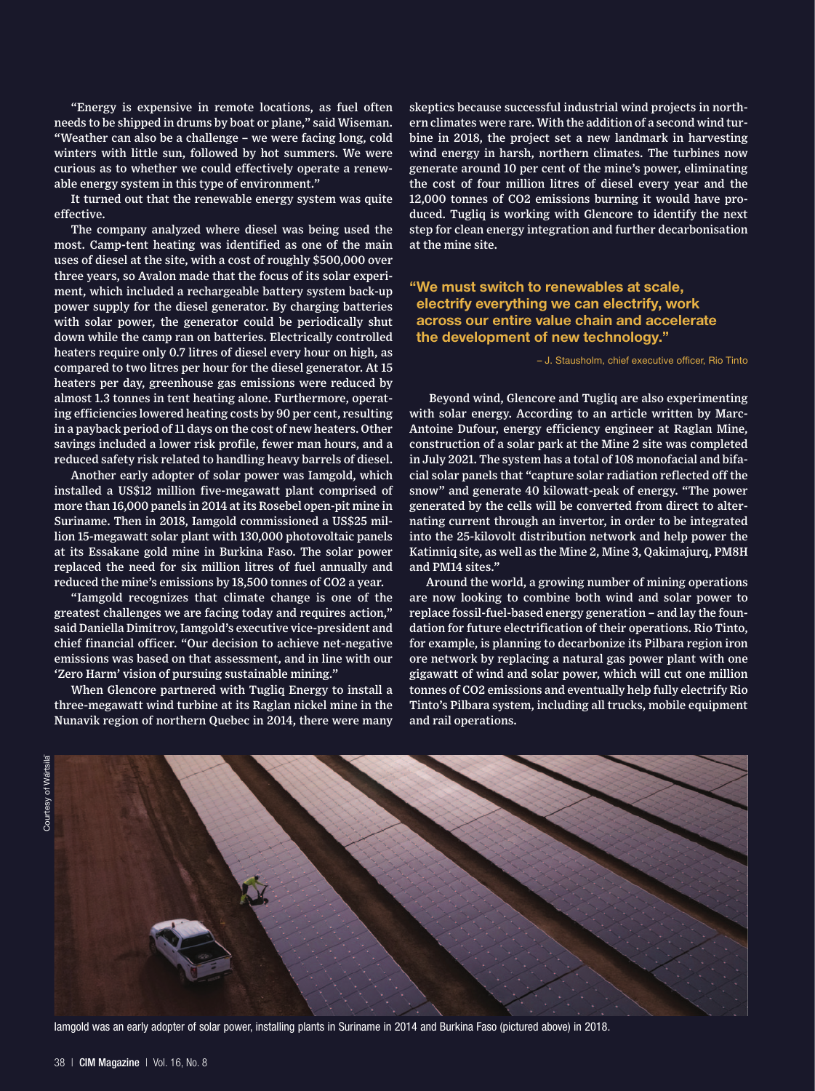"Energy is expensive in remote locations, as fuel often needs to be shipped in drums by boat or plane," said Wiseman. "Weather can also be a challenge – we were facing long, cold winters with little sun, followed by hot summers. We were curious as to whether we could effectively operate a renewable energy system in this type of environment."

It turned out that the renewable energy system was quite effective.

The company analyzed where diesel was being used the most. Camp-tent heating was identified as one of the main uses of diesel at the site, with a cost of roughly \$500,000 over three years, so Avalon made that the focus of its solar experiment, which included a rechargeable battery system back-up power supply for the diesel generator. By charging batteries with solar power, the generator could be periodically shut down while the camp ran on batteries. Electrically controlled heaters require only 0.7 litres of diesel every hour on high, as compared to two litres per hour for the diesel generator. At 15 heaters per day, greenhouse gas emissions were reduced by almost 1.3 tonnes in tent heating alone. Furthermore, operating efficiencies lowered heating costs by 90 per cent, resulting in a payback period of 11 days on the cost of new heaters. Other savings included a lower risk profile, fewer man hours, and a reduced safety risk related to handling heavy barrels of diesel.

Another early adopter of solar power was Iamgold, which installed a US\$12 million five-megawatt plant comprised of more than 16,000 panels in 2014 at its Rosebel open-pit mine in Suriname. Then in 2018, Iamgold commissioned a US\$25 million 15-megawatt solar plant with 130,000 photovoltaic panels at its Essakane gold mine in Burkina Faso. The solar power replaced the need for six million litres of fuel annually and reduced the mine's emissions by 18,500 tonnes of CO2 a year.

"Iamgold recognizes that climate change is one of the greatest challenges we are facing today and requires action," said Daniella Dimitrov, Iamgold's executive vice-president and chief financial officer. "Our decision to achieve net-negative emissions was based on that assessment, and in line with our 'Zero Harm' vision of pursuing sustainable mining."

When Glencore partnered with Tugliq Energy to install a three-megawatt wind turbine at its Raglan nickel mine in the Nunavik region of northern Quebec in 2014, there were many skeptics because successful industrial wind projects in northern climates were rare. With the addition of a second wind turbine in 2018, the project set a new landmark in harvesting wind energy in harsh, northern climates. The turbines now generate around 10 per cent of the mine's power, eliminating the cost of four million litres of diesel every year and the 12,000 tonnes of CO2 emissions burning it would have produced. Tugliq is working with Glencore to identify the next step for clean energy integration and further decarbonisation at the mine site.

# **"We must switch to renewables at scale, electrify everything we can electrify, work across our entire value chain and accelerate the development of new technology."**

– J. Stausholm, chief executive officer, Rio Tinto

 Beyond wind, Glencore and Tugliq are also experimenting with solar energy. According to an article written by Marc-Antoine Dufour, energy efficiency engineer at Raglan Mine, construction of a solar park at the Mine 2 site was completed in July 2021. The system has a total of 108 monofacial and bifacial solar panels that "capture solar radiation reflected off the snow" and generate 40 kilowatt-peak of energy. "The power generated by the cells will be converted from direct to alternating current through an invertor, in order to be integrated into the 25-kilovolt distribution network and help power the Katinniq site, as well as the Mine 2, Mine 3, Qakimajurq, PM8H and PM14 sites."

Around the world, a growing number of mining operations are now looking to combine both wind and solar power to replace fossil-fuel-based energy generation – and lay the foundation for future electrification of their operations. Rio Tinto, for example, is planning to decarbonize its Pilbara region iron ore network by replacing a natural gas power plant with one gigawatt of wind and solar power, which will cut one million tonnes of CO2 emissions and eventually help fully electrify Rio Tinto's Pilbara system, including all trucks, mobile equipment and rail operations.



Iamgold was an early adopter of solar power, installing plants in Suriname in 2014 and Burkina Faso (pictured above) in 2018.